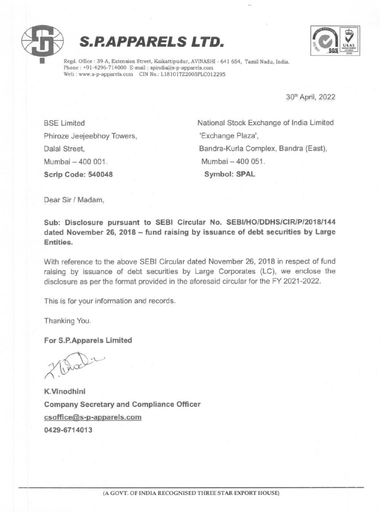

**S.P.APPARELS LTD.** 



Regd. Office : 39-A, Extension Street, Kaikattipudur, AVINASHI - 641 654, Tamil Nadu, India. Phone : +91-4296-714000 E-mail : spindia@s-p-apparels.com Web: www.s-p-apparels.com CIN No.: L18101TZ2005PLC012295

30" April, 2022

Phiroze Jeejeebhoy Towers, **Washington** 'Exchange Plaza', Mumbai -400 001. Mumbai -400 051. Scrip Code: 540048 Symbol: SPAL

BSE Limited National Stock Exchange of India Limited Dalal Street, Bandra-Kurla Complex, Bandra (East),

Dear Sir / Madam,

Sub: Disclosure pursuant to SEBI Circular No. SEBI/HO/DDHSI/CIR/P/2018/144 dated November 26, 2018 - fund raising by issuance of debt securities by Large Entities.

With reference to the above SEBI Circular dated November 26, 2018 in respect of fund raising by issuance of debt securities by Large Corporates (LC), we enclose the disclosure as per the format provided in the aforesaid circular for tne EY 2021-2022.

This is for your information and records.

Thanking You.

For S.P.Apparels Limited

K.Vinodhini Company Secretary and Compliance Officer csoffice@s-p-apparels.com 0429-6714013